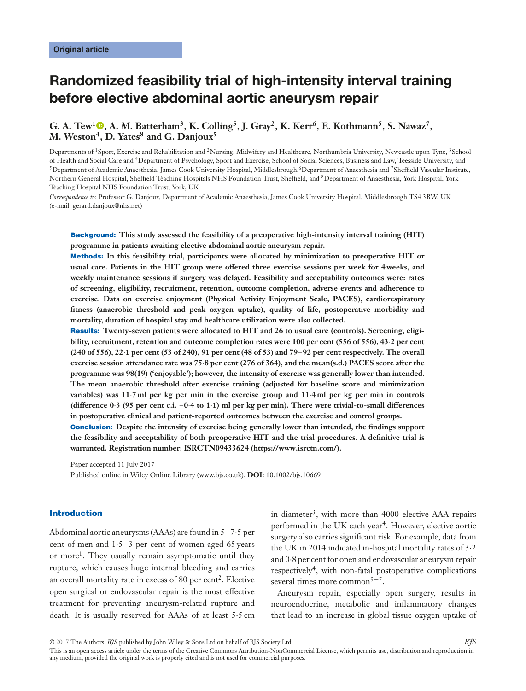# **Randomized feasibility trial of high-intensity interval training before elective abdominal aortic aneurysm repair**

# G. A. Tew<sup>1</sup> **[,](http://orcid.org/0000-0002-8610-0613)** A. M. Batterham<sup>3</sup>, K. Colling<sup>5</sup>, J. Gray<sup>2</sup>, K. Kerr<sup>6</sup>, E. Kothmann<sup>5</sup>, S. Nawaz<sup>7</sup>, **M. Weston4, D. Yates8 and G. Danjoux5**

Departments of 1Sport, Exercise and Rehabilitation and 2Nursing, Midwifery and Healthcare, Northumbria University, Newcastle upon Tyne, 3School of Health and Social Care and 4Department of Psychology, Sport and Exercise, School of Social Sciences, Business and Law, Teesside University, and <sup>5</sup>Department of Academic Anaesthesia, James Cook University Hospital, Middlesbrough,<sup>6</sup>Department of Anaesthesia and <sup>7</sup>Sheffield Vascular Institute, Northern General Hospital, Sheffield Teaching Hospitals NHS Foundation Trust, Sheffield, and 8Department of Anaesthesia, York Hospital, York Teaching Hospital NHS Foundation Trust, York, UK

*Correspondence to:* Professor G. Danjoux, Department of Academic Anaesthesia, James Cook University Hospital, Middlesbrough TS4 3BW, UK (e-mail: gerard.danjoux@nhs.net)

**Background: This study assessed the feasibility of a preoperative high-intensity interval training (HIT) programme in patients awaiting elective abdominal aortic aneurysm repair.**

**Methods: In this feasibility trial, participants were allocated by minimization to preoperative HIT or usual care. Patients in the HIT group were offered three exercise sessions per week for 4 weeks, and weekly maintenance sessions if surgery was delayed. Feasibility and acceptability outcomes were: rates of screening, eligibility, recruitment, retention, outcome completion, adverse events and adherence to exercise. Data on exercise enjoyment (Physical Activity Enjoyment Scale, PACES), cardiorespiratory fitness (anaerobic threshold and peak oxygen uptake), quality of life, postoperative morbidity and mortality, duration of hospital stay and healthcare utilization were also collected.**

**Results: Twenty-seven patients were allocated to HIT and 26 to usual care (controls). Screening, eligibility, recruitment, retention and outcome completion rates were 100 per cent (556 of 556), 43⋅2 per cent (240 of 556), 22⋅1 per cent (53 of 240), 91 per cent (48 of 53) and 79–92 per cent respectively. The overall exercise session attendance rate was 75⋅8 per cent (276 of 364), and the mean(s.d.) PACES score after the programme was 98(19) ('enjoyable'); however, the intensity of exercise was generally lower than intended. The mean anaerobic threshold after exercise training (adjusted for baseline score and minimization variables) was 11⋅7 ml per kg per min in the exercise group and 11⋅4 ml per kg per min in controls (difference 0⋅3 (95 per cent c.i. –0⋅4 to 1⋅1) ml per kg per min). There were trivial-to-small differences in postoperative clinical and patient-reported outcomes between the exercise and control groups.**

**Conclusion: Despite the intensity of exercise being generally lower than intended, the findings support the feasibility and acceptability of both preoperative HIT and the trial procedures. A definitive trial is warranted. Registration number: ISRCTN09433624 [\(https://www.isrctn.com/\)](https://www.isrctn.com/).**

Paper accepted 11 July 2017

Published online in Wiley Online Library (www.bjs.co.uk). **DOI:** 10.1002/bjs.10669

#### **Introduction**

Abdominal aortic aneurysms (AAAs) are found in 5–7⋅5 per cent of men and 1⋅5–3 per cent of women aged 65 years or more<sup>1</sup>. They usually remain asymptomatic until they rupture, which causes huge internal bleeding and carries an overall mortality rate in excess of 80 per cent<sup>2</sup>. Elective open surgical or endovascular repair is the most effective treatment for preventing aneurysm-related rupture and death. It is usually reserved for AAAs of at least 5⋅5 cm in diameter<sup>3</sup>, with more than 4000 elective AAA repairs performed in the UK each year<sup>4</sup>. However, elective aortic surgery also carries significant risk. For example, data from the UK in 2014 indicated in-hospital mortality rates of 3⋅2 and 0⋅8 per cent for open and endovascular aneurysm repair respectively<sup>4</sup>, with non-fatal postoperative complications several times more common<sup>5-7</sup>.

Aneurysm repair, especially open surgery, results in neuroendocrine, metabolic and inflammatory changes that lead to an increase in global tissue oxygen uptake of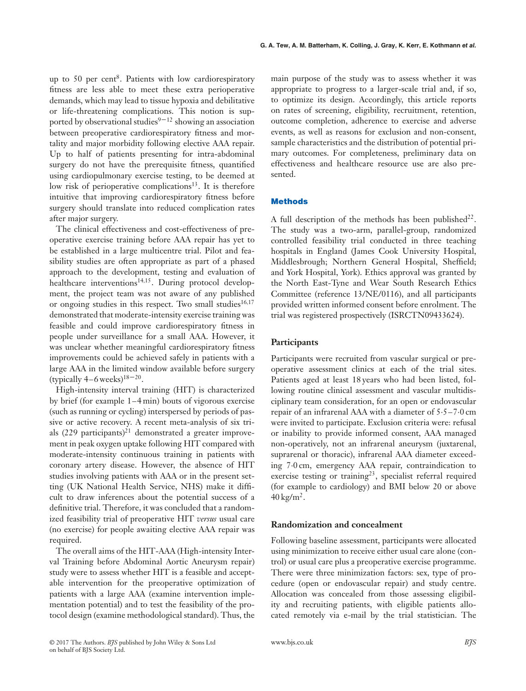up to 50 per cent<sup>8</sup>. Patients with low cardiorespiratory fitness are less able to meet these extra perioperative demands, which may lead to tissue hypoxia and debilitative or life-threatening complications. This notion is supported by observational studies $9-12$  showing an association between preoperative cardiorespiratory fitness and mortality and major morbidity following elective AAA repair. Up to half of patients presenting for intra-abdominal surgery do not have the prerequisite fitness, quantified using cardiopulmonary exercise testing, to be deemed at low risk of perioperative complications<sup>13</sup>. It is therefore intuitive that improving cardiorespiratory fitness before surgery should translate into reduced complication rates after major surgery.

The clinical effectiveness and cost-effectiveness of preoperative exercise training before AAA repair has yet to be established in a large multicentre trial. Pilot and feasibility studies are often appropriate as part of a phased approach to the development, testing and evaluation of healthcare interventions<sup>14,15</sup>. During protocol development, the project team was not aware of any published or ongoing studies in this respect. Two small studies<sup>16</sup>*,*<sup>17</sup> demonstrated that moderate-intensity exercise training was feasible and could improve cardiorespiratory fitness in people under surveillance for a small AAA. However, it was unclear whether meaningful cardiorespiratory fitness improvements could be achieved safely in patients with a large AAA in the limited window available before surgery (typically  $4-6$  weeks) $18-20$ .

High-intensity interval training (HIT) is characterized by brief (for example 1–4 min) bouts of vigorous exercise (such as running or cycling) interspersed by periods of passive or active recovery. A recent meta-analysis of six trials (229 participants) $^{21}$  demonstrated a greater improvement in peak oxygen uptake following HIT compared with moderate-intensity continuous training in patients with coronary artery disease. However, the absence of HIT studies involving patients with AAA or in the present setting (UK National Health Service, NHS) make it difficult to draw inferences about the potential success of a definitive trial. Therefore, it was concluded that a randomized feasibility trial of preoperative HIT *versus* usual care (no exercise) for people awaiting elective AAA repair was required.

The overall aims of the HIT-AAA (High-intensity Interval Training before Abdominal Aortic Aneurysm repair) study were to assess whether HIT is a feasible and acceptable intervention for the preoperative optimization of patients with a large AAA (examine intervention implementation potential) and to test the feasibility of the protocol design (examine methodological standard). Thus, the

main purpose of the study was to assess whether it was appropriate to progress to a larger-scale trial and, if so, to optimize its design. Accordingly, this article reports on rates of screening, eligibility, recruitment, retention, outcome completion, adherence to exercise and adverse events, as well as reasons for exclusion and non-consent, sample characteristics and the distribution of potential primary outcomes. For completeness, preliminary data on effectiveness and healthcare resource use are also presented.

# **Methods**

A full description of the methods has been published<sup>22</sup>. The study was a two-arm, parallel-group, randomized controlled feasibility trial conducted in three teaching hospitals in England (James Cook University Hospital, Middlesbrough; Northern General Hospital, Sheffield; and York Hospital, York). Ethics approval was granted by the North East-Tyne and Wear South Research Ethics Committee (reference 13/NE/0116), and all participants provided written informed consent before enrolment. The trial was registered prospectively (ISRCTN09433624).

# **Participants**

Participants were recruited from vascular surgical or preoperative assessment clinics at each of the trial sites. Patients aged at least 18 years who had been listed, following routine clinical assessment and vascular multidisciplinary team consideration, for an open or endovascular repair of an infrarenal AAA with a diameter of 5⋅5–7⋅0 cm were invited to participate. Exclusion criteria were: refusal or inability to provide informed consent, AAA managed non-operatively, not an infrarenal aneurysm (juxtarenal, suprarenal or thoracic), infrarenal AAA diameter exceeding 7⋅0 cm, emergency AAA repair, contraindication to exercise testing or training<sup>23</sup>, specialist referral required (for example to cardiology) and BMI below 20 or above  $40 \,\mathrm{kg/m^2}$ .

# **Randomization and concealment**

Following baseline assessment, participants were allocated using minimization to receive either usual care alone (control) or usual care plus a preoperative exercise programme. There were three minimization factors: sex, type of procedure (open or endovascular repair) and study centre. Allocation was concealed from those assessing eligibility and recruiting patients, with eligible patients allocated remotely via e-mail by the trial statistician. The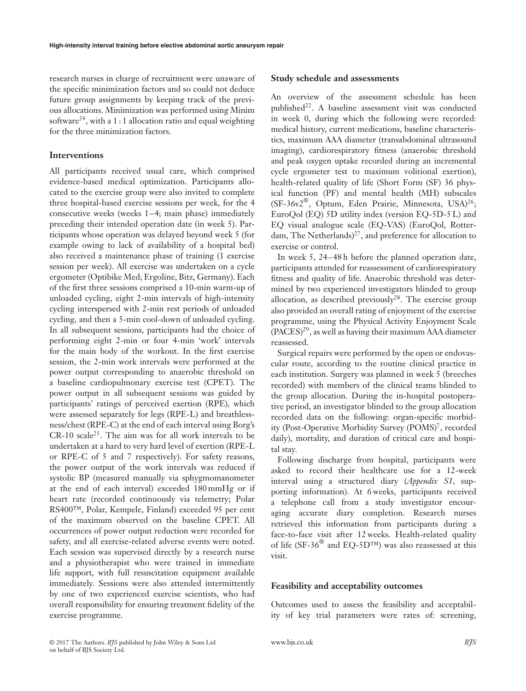research nurses in charge of recruitment were unaware of the specific minimization factors and so could not deduce future group assignments by keeping track of the previous allocations. Minimization was performed using Minim software<sup>24</sup>, with a 1 : 1 allocation ratio and equal weighting for the three minimization factors.

# **Interventions**

All participants received usual care, which comprised evidence-based medical optimization. Participants allocated to the exercise group were also invited to complete three hospital-based exercise sessions per week, for the 4 consecutive weeks (weeks 1–4; main phase) immediately preceding their intended operation date (in week 5). Participants whose operation was delayed beyond week 5 (for example owing to lack of availability of a hospital bed) also received a maintenance phase of training (1 exercise session per week). All exercise was undertaken on a cycle ergometer (Optibike Med; Ergoline, Bitz, Germany). Each of the first three sessions comprised a 10-min warm-up of unloaded cycling, eight 2-min intervals of high-intensity cycling interspersed with 2-min rest periods of unloaded cycling, and then a 5-min cool-down of unloaded cycling. In all subsequent sessions, participants had the choice of performing eight 2-min or four 4-min 'work' intervals for the main body of the workout. In the first exercise session, the 2-min work intervals were performed at the power output corresponding to anaerobic threshold on a baseline cardiopulmonary exercise test (CPET). The power output in all subsequent sessions was guided by participants' ratings of perceived exertion (RPE), which were assessed separately for legs (RPE-L) and breathlessness/chest (RPE-C) at the end of each interval using Borg's  $CR-10$  scale<sup>25</sup>. The aim was for all work intervals to be undertaken at a hard to very hard level of exertion (RPE-L or RPE-C of 5 and 7 respectively). For safety reasons, the power output of the work intervals was reduced if systolic BP (measured manually via sphygmomanometer at the end of each interval) exceeded 180 mmHg or if heart rate (recorded continuously via telemetry; Polar RS400™, Polar, Kempele, Finland) exceeded 95 per cent of the maximum observed on the baseline CPET. All occurrences of power output reduction were recorded for safety, and all exercise-related adverse events were noted. Each session was supervised directly by a research nurse and a physiotherapist who were trained in immediate life support, with full resuscitation equipment available immediately. Sessions were also attended intermittently by one of two experienced exercise scientists, who had overall responsibility for ensuring treatment fidelity of the exercise programme.

# **Study schedule and assessments**

An overview of the assessment schedule has been published<sup>22</sup>. A baseline assessment visit was conducted in week 0, during which the following were recorded: medical history, current medications, baseline characteristics, maximum AAA diameter (transabdominal ultrasound imaging), cardiorespiratory fitness (anaerobic threshold and peak oxygen uptake recorded during an incremental cycle ergometer test to maximum volitional exertion), health-related quality of life (Short Form (SF) 36 physical function (PF) and mental health (MH) subscales  $(SF-36v2^{\circ\circ})$ , Optum, Eden Prairie, Minnesota, USA)<sup>26</sup>; EuroQol (EQ) 5D utility index (version EQ-5D-5 L) and EQ visual analogue scale (EQ-VAS) (EuroQol, Rotterdam, The Netherlands) $^{27}$ , and preference for allocation to exercise or control.

In week 5, 24–48 h before the planned operation date, participants attended for reassessment of cardiorespiratory fitness and quality of life. Anaerobic threshold was determined by two experienced investigators blinded to group allocation, as described previously<sup>28</sup>. The exercise group also provided an overall rating of enjoyment of the exercise programme, using the Physical Activity Enjoyment Scale  $(PACES)^{29}$ , as well as having their maximum AAA diameter reassessed.

Surgical repairs were performed by the open or endovascular route, according to the routine clinical practice in each institution. Surgery was planned in week 5 (breeches recorded) with members of the clinical teams blinded to the group allocation. During the in-hospital postoperative period, an investigator blinded to the group allocation recorded data on the following: organ-specific morbidity (Post-Operative Morbidity Survey (POMS)<sup>7</sup>, recorded daily), mortality, and duration of critical care and hospital stay.

Following discharge from hospital, participants were asked to record their healthcare use for a 12-week interval using a structured diary (*Appendix S1*, supporting information). At 6 weeks, participants received a telephone call from a study investigator encouraging accurate diary completion. Research nurses retrieved this information from participants during a face-to-face visit after 12 weeks. Health-related quality of life (SF-36<sup>®</sup> and EQ-5D<sup>™</sup>) was also reassessed at this visit.

# **Feasibility and acceptability outcomes**

Outcomes used to assess the feasibility and acceptability of key trial parameters were rates of: screening,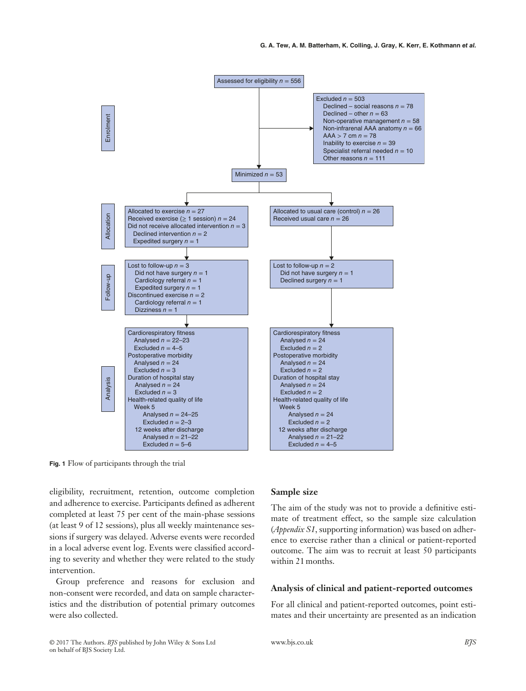

**Fig. 1** Flow of participants through the trial

eligibility, recruitment, retention, outcome completion and adherence to exercise. Participants defined as adherent completed at least 75 per cent of the main-phase sessions (at least 9 of 12 sessions), plus all weekly maintenance sessions if surgery was delayed. Adverse events were recorded in a local adverse event log. Events were classified according to severity and whether they were related to the study intervention.

Group preference and reasons for exclusion and non-consent were recorded, and data on sample characteristics and the distribution of potential primary outcomes were also collected.

# **Sample size**

The aim of the study was not to provide a definitive estimate of treatment effect, so the sample size calculation (*Appendix S1*, supporting information) was based on adherence to exercise rather than a clinical or patient-reported outcome. The aim was to recruit at least 50 participants within 21 months.

# **Analysis of clinical and patient-reported outcomes**

For all clinical and patient-reported outcomes, point estimates and their uncertainty are presented as an indication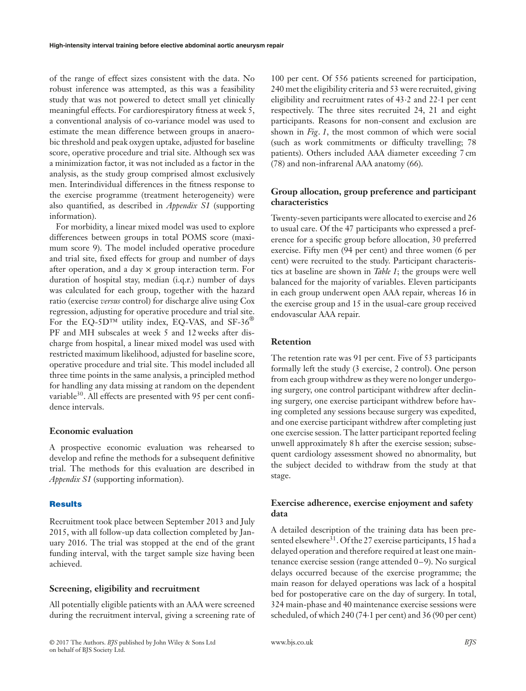of the range of effect sizes consistent with the data. No robust inference was attempted, as this was a feasibility study that was not powered to detect small yet clinically meaningful effects. For cardiorespiratory fitness at week 5, a conventional analysis of co-variance model was used to estimate the mean difference between groups in anaerobic threshold and peak oxygen uptake, adjusted for baseline score, operative procedure and trial site. Although sex was a minimization factor, it was not included as a factor in the analysis, as the study group comprised almost exclusively men. Interindividual differences in the fitness response to the exercise programme (treatment heterogeneity) were also quantified, as described in *Appendix S1* (supporting information).

For morbidity, a linear mixed model was used to explore differences between groups in total POMS score (maximum score 9). The model included operative procedure and trial site, fixed effects for group and number of days after operation, and a day  $\times$  group interaction term. For duration of hospital stay, median (i.q.r.) number of days was calculated for each group, together with the hazard ratio (exercise *versus* control) for discharge alive using Cox regression, adjusting for operative procedure and trial site. For the EQ-5D<sup>™</sup> utility index, EQ-VAS, and SF-36<sup>®</sup> PF and MH subscales at week 5 and 12 weeks after discharge from hospital, a linear mixed model was used with restricted maximum likelihood, adjusted for baseline score, operative procedure and trial site. This model included all three time points in the same analysis, a principled method for handling any data missing at random on the dependent variable<sup>30</sup>. All effects are presented with 95 per cent confidence intervals.

#### **Economic evaluation**

A prospective economic evaluation was rehearsed to develop and refine the methods for a subsequent definitive trial. The methods for this evaluation are described in *Appendix S1* (supporting information).

#### **Results**

Recruitment took place between September 2013 and July 2015, with all follow-up data collection completed by January 2016. The trial was stopped at the end of the grant funding interval, with the target sample size having been achieved.

# **Screening, eligibility and recruitment**

All potentially eligible patients with an AAA were screened during the recruitment interval, giving a screening rate of

100 per cent. Of 556 patients screened for participation, 240 met the eligibility criteria and 53 were recruited, giving eligibility and recruitment rates of 43⋅2 and 22⋅1 per cent respectively. The three sites recruited 24, 21 and eight participants. Reasons for non-consent and exclusion are shown in *Fig*. *1*, the most common of which were social (such as work commitments or difficulty travelling; 78 patients). Others included AAA diameter exceeding 7 cm (78) and non-infrarenal AAA anatomy (66).

# **Group allocation, group preference and participant characteristics**

Twenty-seven participants were allocated to exercise and 26 to usual care. Of the 47 participants who expressed a preference for a specific group before allocation, 30 preferred exercise. Fifty men (94 per cent) and three women (6 per cent) were recruited to the study. Participant characteristics at baseline are shown in *Table 1*; the groups were well balanced for the majority of variables. Eleven participants in each group underwent open AAA repair, whereas 16 in the exercise group and 15 in the usual-care group received endovascular AAA repair.

# **Retention**

The retention rate was 91 per cent. Five of 53 participants formally left the study (3 exercise, 2 control). One person from each group withdrew as they were no longer undergoing surgery, one control participant withdrew after declining surgery, one exercise participant withdrew before having completed any sessions because surgery was expedited, and one exercise participant withdrew after completing just one exercise session. The latter participant reported feeling unwell approximately 8 h after the exercise session; subsequent cardiology assessment showed no abnormality, but the subject decided to withdraw from the study at that stage.

# **Exercise adherence, exercise enjoyment and safety data**

A detailed description of the training data has been presented elsewhere<sup>31</sup>. Of the 27 exercise participants, 15 had a delayed operation and therefore required at least one maintenance exercise session (range attended 0–9). No surgical delays occurred because of the exercise programme; the main reason for delayed operations was lack of a hospital bed for postoperative care on the day of surgery. In total, 324 main-phase and 40 maintenance exercise sessions were scheduled, of which 240 (74⋅1 per cent) and 36 (90 per cent)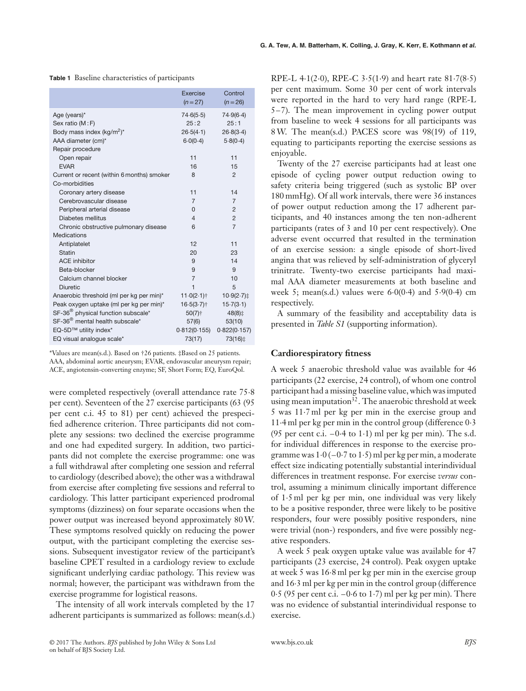|                                                   | Exercise<br>$(n=27)$     | Control<br>$(n=26)$ |
|---------------------------------------------------|--------------------------|---------------------|
| Age (years)*                                      | 74.6(5.5)                | 74.9(6.4)           |
| Sex ratio (M:F)                                   | 25:2                     | 25:1                |
| Body mass index (kg/m <sup>2</sup> ) <sup>*</sup> | 26.5(4.1)                | 26.8(3.4)           |
| AAA diameter (cm)*                                | 6.0(0.4)                 | 5.8(0.4)            |
| Repair procedure                                  |                          |                     |
| Open repair                                       | 11                       | 11                  |
| <b>EVAR</b>                                       | 16                       | 15                  |
| Current or recent (within 6 months) smoker        | 8                        | 2                   |
| Co-morbidities                                    |                          |                     |
| Coronary artery disease                           | 11                       | 14                  |
| Cerebrovascular disease                           | 7                        | $\overline{7}$      |
| Peripheral arterial disease                       | $\Omega$                 | $\overline{2}$      |
| Diabetes mellitus                                 | $\overline{4}$           | $\overline{2}$      |
| Chronic obstructive pulmonary disease             | 6                        | $\overline{7}$      |
| <b>Medications</b>                                |                          |                     |
| Antiplatelet                                      | 12                       | 11                  |
| Statin                                            | 20                       | 23                  |
| <b>ACE</b> inhibitor                              | 9                        | 14                  |
| Beta-blocker                                      | 9                        | 9                   |
| Calcium channel blocker                           | $\overline{7}$           | 10                  |
| <b>Diuretic</b>                                   | $\overline{\phantom{a}}$ | 5                   |
| Anaerobic threshold (ml per kg per min)*          | $11.0(2.1)$ †            | 10.9(2.7)           |
| Peak oxygen uptake (ml per kg per min)*           | $16.5(3.7)$ †            | 15.7(3.1)           |
| SF-36 <sup>®</sup> physical function subscale*    | $50(7)$ <sup>+</sup>     | 48(8)‡              |
| SF-36 <sup>®</sup> mental health subscale*        | 57(6)                    | 53(10)              |
| EQ-5D™ utility index*                             | 0.812(0.155)             | 0.822(0.157)        |
| EQ visual analogue scale*                         | 73(17)                   | 73(16)‡             |

\*Values are mean(s.d.). Based on †26 patients. ‡Based on 25 patients. AAA, abdominal aortic aneurysm; EVAR, endovascular aneurysm repair; ACE, angiotensin-converting enzyme; SF, Short Form; EQ, EuroQol.

were completed respectively (overall attendance rate 75⋅8 per cent). Seventeen of the 27 exercise participants (63 (95 per cent c.i. 45 to 81) per cent) achieved the prespecified adherence criterion. Three participants did not complete any sessions: two declined the exercise programme and one had expedited surgery. In addition, two participants did not complete the exercise programme: one was a full withdrawal after completing one session and referral to cardiology (described above); the other was a withdrawal from exercise after completing five sessions and referral to cardiology. This latter participant experienced prodromal symptoms (dizziness) on four separate occasions when the power output was increased beyond approximately 80W. These symptoms resolved quickly on reducing the power output, with the participant completing the exercise sessions. Subsequent investigator review of the participant's baseline CPET resulted in a cardiology review to exclude significant underlying cardiac pathology. This review was normal; however, the participant was withdrawn from the exercise programme for logistical reasons.

The intensity of all work intervals completed by the 17 adherent participants is summarized as follows: mean(s.d.)

RPE-L 4⋅1(2⋅0), RPE-C 3⋅5(1⋅9) and heart rate 81⋅7(8⋅5) per cent maximum. Some 30 per cent of work intervals were reported in the hard to very hard range (RPE-L 5–7). The mean improvement in cycling power output from baseline to week 4 sessions for all participants was 8W. The mean(s.d.) PACES score was 98(19) of 119, equating to participants reporting the exercise sessions as enjoyable.

Twenty of the 27 exercise participants had at least one episode of cycling power output reduction owing to safety criteria being triggered (such as systolic BP over 180 mmHg). Of all work intervals, there were 36 instances of power output reduction among the 17 adherent participants, and 40 instances among the ten non-adherent participants (rates of 3 and 10 per cent respectively). One adverse event occurred that resulted in the termination of an exercise session: a single episode of short-lived angina that was relieved by self-administration of glyceryl trinitrate. Twenty-two exercise participants had maximal AAA diameter measurements at both baseline and week 5; mean(s.d.) values were 6⋅0(0⋅4) and 5⋅9(0⋅4) cm respectively.

A summary of the feasibility and acceptability data is presented in *Table S1* (supporting information).

# **Cardiorespiratory fitness**

A week 5 anaerobic threshold value was available for 46 participants (22 exercise, 24 control), of whom one control participant had a missing baseline value, which was imputed using mean imputation $32$ . The anaerobic threshold at week 5 was 11⋅7 ml per kg per min in the exercise group and 11⋅4 ml per kg per min in the control group (difference 0⋅3 (95 per cent c.i. –0⋅4 to 1⋅1) ml per kg per min). The s.d. for individual differences in response to the exercise programme was  $1.0$  (-0⋅7 to 1⋅5) ml per kg per min, a moderate effect size indicating potentially substantial interindividual differences in treatment response. For exercise *versus* control, assuming a minimum clinically important difference of 1⋅5 ml per kg per min, one individual was very likely to be a positive responder, three were likely to be positive responders, four were possibly positive responders, nine were trivial (non-) responders, and five were possibly negative responders.

A week 5 peak oxygen uptake value was available for 47 participants (23 exercise, 24 control). Peak oxygen uptake at week 5 was 16⋅8 ml per kg per min in the exercise group and 16⋅3 ml per kg per min in the control group (difference 0⋅5 (95 per cent c.i. –0⋅6 to 1⋅7) ml per kg per min). There was no evidence of substantial interindividual response to exercise.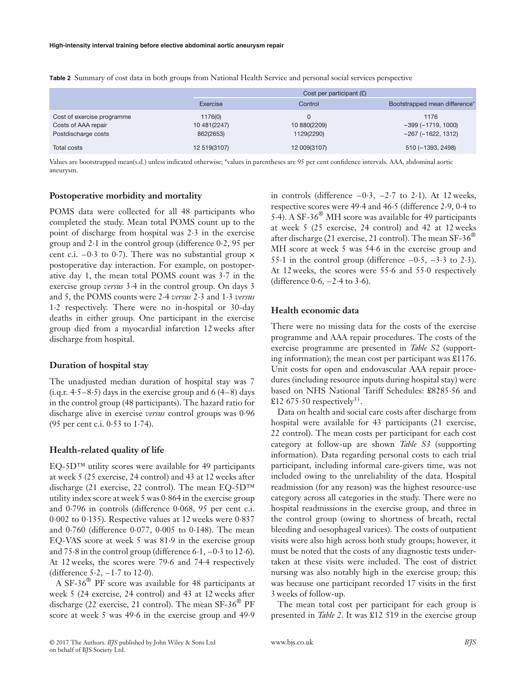|                                                                          |                                       | Cost per participant $(E)$ |                                                     |  |
|--------------------------------------------------------------------------|---------------------------------------|----------------------------|-----------------------------------------------------|--|
|                                                                          | Exercise                              | Control                    | Bootstrapped mean difference*                       |  |
| Cost of exercise programme<br>Costs of AAA repair<br>Postdischarge costs | 1176(0)<br>10 481 (2247)<br>862(2653) | 10 880(2209)<br>1129(2290) | 1176<br>$-399(-1719, 1000)$<br>$-267 (-1622, 1312)$ |  |
| Total costs                                                              | 12 519(3107)                          | 12 009(3107)               | 510 (-1393, 2498)                                   |  |

**Table 2** Summary of cost data in both groups from National Health Service and personal social services perspective

Values are bootstrapped mean(s.d.) unless indicated otherwise; \*values in parentheses are 95 per cent confidence intervals. AAA, abdominal aortic aneurysm.

#### **Postoperative morbidity and mortality**

POMS data were collected for all 48 participants who completed the study. Mean total POMS count up to the point of discharge from hospital was 2⋅3 in the exercise group and 2⋅1 in the control group (difference 0⋅2, 95 per cent c.i.  $-0.3$  to 0.7). There was no substantial group  $\times$ postoperative day interaction. For example, on postoperative day 1, the mean total POMS count was 3⋅7 in the exercise group *versus* 3⋅4 in the control group. On days 3 and 5, the POMS counts were 2⋅4 *versus* 2⋅3 and 1⋅3 *versus* 1⋅2 respectively. There were no in-hospital or 30-day deaths in either group. One participant in the exercise group died from a myocardial infarction 12 weeks after discharge from hospital.

# **Duration of hospital stay**

The unadjusted median duration of hospital stay was 7 (i.q.r.  $4.5-8.5$ ) days in the exercise group and 6 (4–8) days in the control group (48 participants). The hazard ratio for discharge alive in exercise *versus* control groups was 0⋅96 (95 per cent c.i. 0⋅53 to 1⋅74).

# **Health-related quality of life**

EQ-5D™ utility scores were available for 49 participants at week 5 (25 exercise, 24 control) and 43 at 12 weeks after discharge (21 exercise, 22 control). The mean EQ-5D™ utility index score at week 5 was 0⋅864 in the exercise group and 0⋅796 in controls (difference 0⋅068, 95 per cent c.i. 0⋅002 to 0⋅135). Respective values at 12 weeks were 0⋅837 and 0⋅760 (difference 0⋅077, 0⋅005 to 0⋅148). The mean EQ-VAS score at week 5 was 81⋅9 in the exercise group and 75⋅8 in the control group (difference 6⋅1, –0⋅3 to 12⋅6). At 12 weeks, the scores were 79⋅6 and 74⋅4 respectively (difference 5⋅2, –1⋅7 to 12⋅0).

A SF-36® PF score was available for 48 participants at week 5 (24 exercise, 24 control) and 43 at 12 weeks after discharge (22 exercise, 21 control). The mean SF-36® PF score at week 5 was 49⋅6 in the exercise group and 49⋅9

in controls (difference  $-0.3$ ,  $-2.7$  to 2.1). At 12 weeks, respective scores were 49⋅4 and 46⋅5 (difference 2⋅9, 0⋅4 to 5⋅4). A SF-36® MH score was available for 49 participants at week 5 (25 exercise, 24 control) and 42 at 12 weeks after discharge (21 exercise, 21 control). The mean SF-36® MH score at week 5 was 54⋅6 in the exercise group and 55⋅1 in the control group (difference  $-0.5, -3.3$  to 2⋅3). At 12 weeks, the scores were 55⋅6 and 55⋅0 respectively (difference  $0.6, -2.4$  to  $3.6$ ).

#### **Health economic data**

There were no missing data for the costs of the exercise programme and AAA repair procedures. The costs of the exercise programme are presented in *Table S2* (supporting information); the mean cost per participant was £1176. Unit costs for open and endovascular AAA repair procedures (including resource inputs during hospital stay) were based on NHS National Tariff Schedules: £8285⋅56 and  $\text{\textsterling}12$  675⋅50 respectively<sup>33</sup>.

Data on health and social care costs after discharge from hospital were available for 43 participants (21 exercise, 22 control). The mean costs per participant for each cost category at follow-up are shown *Table S3* (supporting information). Data regarding personal costs to each trial participant, including informal care-givers time, was not included owing to the unreliability of the data. Hospital readmission (for any reason) was the highest resource-use category across all categories in the study. There were no hospital readmissions in the exercise group, and three in the control group (owing to shortness of breath, rectal bleeding and oesophageal varices). The costs of outpatient visits were also high across both study groups; however, it must be noted that the costs of any diagnostic tests undertaken at these visits were included. The cost of district nursing was also notably high in the exercise group; this was because one participant recorded 17 visits in the first 3 weeks of follow-up.

The mean total cost per participant for each group is presented in *Table 2*. It was £12 519 in the exercise group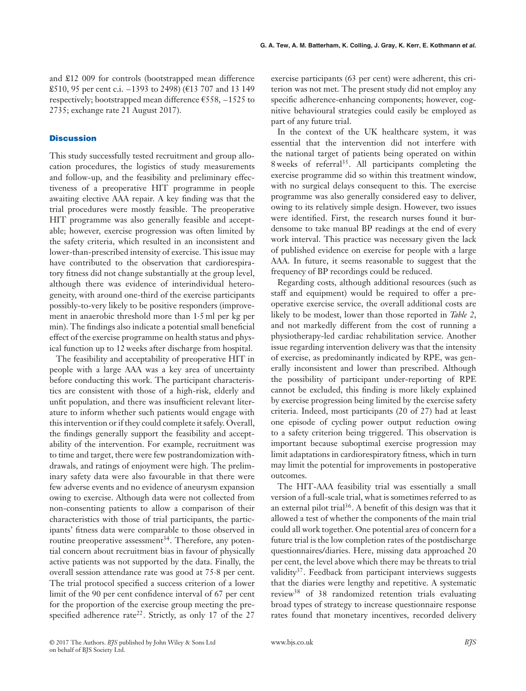and £12 009 for controls (bootstrapped mean difference £510, 95 per cent c.i.  $-1393$  to 2498) (€13 707 and 13 149 respectively; bootstrapped mean difference  $€558, -1525$  to 2735; exchange rate 21 August 2017).

# **Discussion**

This study successfully tested recruitment and group allocation procedures, the logistics of study measurements and follow-up, and the feasibility and preliminary effectiveness of a preoperative HIT programme in people awaiting elective AAA repair. A key finding was that the trial procedures were mostly feasible. The preoperative HIT programme was also generally feasible and acceptable; however, exercise progression was often limited by the safety criteria, which resulted in an inconsistent and lower-than-prescribed intensity of exercise. This issue may have contributed to the observation that cardiorespiratory fitness did not change substantially at the group level, although there was evidence of interindividual heterogeneity, with around one-third of the exercise participants possibly-to-very likely to be positive responders (improvement in anaerobic threshold more than 1⋅5 ml per kg per min). The findings also indicate a potential small beneficial effect of the exercise programme on health status and physical function up to 12 weeks after discharge from hospital.

The feasibility and acceptability of preoperative HIT in people with a large AAA was a key area of uncertainty before conducting this work. The participant characteristics are consistent with those of a high-risk, elderly and unfit population, and there was insufficient relevant literature to inform whether such patients would engage with this intervention or if they could complete it safely. Overall, the findings generally support the feasibility and acceptability of the intervention. For example, recruitment was to time and target, there were few postrandomization withdrawals, and ratings of enjoyment were high. The preliminary safety data were also favourable in that there were few adverse events and no evidence of aneurysm expansion owing to exercise. Although data were not collected from non-consenting patients to allow a comparison of their characteristics with those of trial participants, the participants' fitness data were comparable to those observed in routine preoperative assessment<sup>34</sup>. Therefore, any potential concern about recruitment bias in favour of physically active patients was not supported by the data. Finally, the overall session attendance rate was good at 75⋅8 per cent. The trial protocol specified a success criterion of a lower limit of the 90 per cent confidence interval of 67 per cent for the proportion of the exercise group meeting the prespecified adherence rate<sup>22</sup>. Strictly, as only 17 of the 27

exercise participants (63 per cent) were adherent, this criterion was not met. The present study did not employ any specific adherence-enhancing components; however, cognitive behavioural strategies could easily be employed as part of any future trial.

In the context of the UK healthcare system, it was essential that the intervention did not interfere with the national target of patients being operated on within 8 weeks of referral<sup>35</sup>. All participants completing the exercise programme did so within this treatment window, with no surgical delays consequent to this. The exercise programme was also generally considered easy to deliver, owing to its relatively simple design. However, two issues were identified. First, the research nurses found it burdensome to take manual BP readings at the end of every work interval. This practice was necessary given the lack of published evidence on exercise for people with a large AAA. In future, it seems reasonable to suggest that the frequency of BP recordings could be reduced.

Regarding costs, although additional resources (such as staff and equipment) would be required to offer a preoperative exercise service, the overall additional costs are likely to be modest, lower than those reported in *Table 2*, and not markedly different from the cost of running a physiotherapy-led cardiac rehabilitation service. Another issue regarding intervention delivery was that the intensity of exercise, as predominantly indicated by RPE, was generally inconsistent and lower than prescribed. Although the possibility of participant under-reporting of RPE cannot be excluded, this finding is more likely explained by exercise progression being limited by the exercise safety criteria. Indeed, most participants (20 of 27) had at least one episode of cycling power output reduction owing to a safety criterion being triggered. This observation is important because suboptimal exercise progression may limit adaptations in cardiorespiratory fitness, which in turn may limit the potential for improvements in postoperative outcomes.

The HIT-AAA feasibility trial was essentially a small version of a full-scale trial, what is sometimes referred to as an external pilot trial<sup>36</sup>. A benefit of this design was that it allowed a test of whether the components of the main trial could all work together. One potential area of concern for a future trial is the low completion rates of the postdischarge questionnaires/diaries. Here, missing data approached 20 per cent, the level above which there may be threats to trial validity<sup>37</sup>. Feedback from participant interviews suggests that the diaries were lengthy and repetitive. A systematic review38 of 38 randomized retention trials evaluating broad types of strategy to increase questionnaire response rates found that monetary incentives, recorded delivery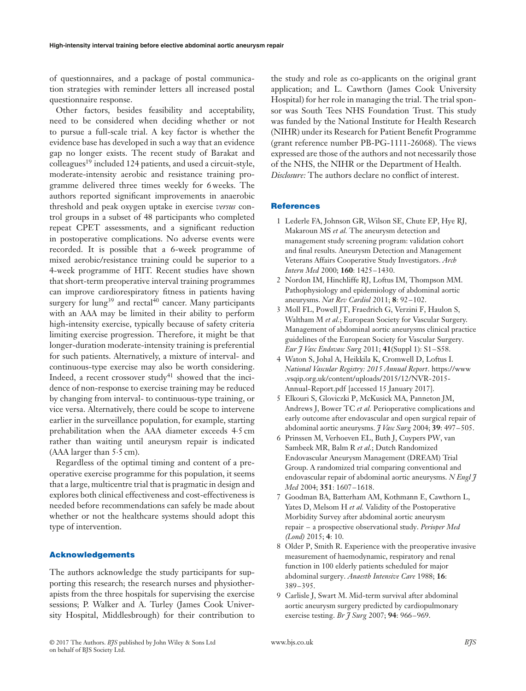of questionnaires, and a package of postal communication strategies with reminder letters all increased postal questionnaire response.

Other factors, besides feasibility and acceptability, need to be considered when deciding whether or not to pursue a full-scale trial. A key factor is whether the evidence base has developed in such a way that an evidence gap no longer exists. The recent study of Barakat and colleagues<sup>19</sup> included 124 patients, and used a circuit-style, moderate-intensity aerobic and resistance training programme delivered three times weekly for 6 weeks. The authors reported significant improvements in anaerobic threshold and peak oxygen uptake in exercise *versus* control groups in a subset of 48 participants who completed repeat CPET assessments, and a significant reduction in postoperative complications. No adverse events were recorded. It is possible that a 6-week programme of mixed aerobic/resistance training could be superior to a 4-week programme of HIT. Recent studies have shown that short-term preoperative interval training programmes can improve cardiorespiratory fitness in patients having surgery for  $\text{lung}^{39}$  and rectal<sup>40</sup> cancer. Many participants with an AAA may be limited in their ability to perform high-intensity exercise, typically because of safety criteria limiting exercise progression. Therefore, it might be that longer-duration moderate-intensity training is preferential for such patients. Alternatively, a mixture of interval- and continuous-type exercise may also be worth considering. Indeed, a recent crossover study<sup>41</sup> showed that the incidence of non-response to exercise training may be reduced by changing from interval- to continuous-type training, or vice versa. Alternatively, there could be scope to intervene earlier in the surveillance population, for example, starting prehabilitation when the AAA diameter exceeds 4⋅5 cm rather than waiting until aneurysm repair is indicated (AAA larger than 5⋅5 cm).

Regardless of the optimal timing and content of a preoperative exercise programme for this population, it seems that a large, multicentre trial that is pragmatic in design and explores both clinical effectiveness and cost-effectiveness is needed before recommendations can safely be made about whether or not the healthcare systems should adopt this type of intervention.

# **Acknowledgements**

The authors acknowledge the study participants for supporting this research; the research nurses and physiotherapists from the three hospitals for supervising the exercise sessions; P. Walker and A. Turley (James Cook University Hospital, Middlesbrough) for their contribution to

the study and role as co-applicants on the original grant application; and L. Cawthorn (James Cook University Hospital) for her role in managing the trial. The trial sponsor was South Tees NHS Foundation Trust. This study was funded by the National Institute for Health Research (NIHR) under its Research for Patient Benefit Programme (grant reference number PB-PG-1111-26068). The views expressed are those of the authors and not necessarily those of the NHS, the NIHR or the Department of Health. *Disclosure:* The authors declare no conflict of interest.

#### **References**

- 1 Lederle FA, Johnson GR, Wilson SE, Chute EP, Hye RJ, Makaroun MS *et al.* The aneurysm detection and management study screening program: validation cohort and final results. Aneurysm Detection and Management Veterans Affairs Cooperative Study Investigators. *Arch Intern Med* 2000; **160**: 1425–1430.
- 2 Nordon IM, Hinchliffe RJ, Loftus IM, Thompson MM. Pathophysiology and epidemiology of abdominal aortic aneurysms. *Nat Rev Cardiol* 2011; **8**: 92–102.
- 3 Moll FL, Powell JT, Fraedrich G, Verzini F, Haulon S, Waltham M *et al.*; European Society for Vascular Surgery. Management of abdominal aortic aneurysms clinical practice guidelines of the European Society for Vascular Surgery. *Eur J Vasc Endovasc Surg* 2011; **41**(Suppl 1): S1–S58.
- 4 Waton S, Johal A, Heikkila K, Cromwell D, Loftus I. *National Vascular Registry: 2015 Annual Report*. [https://www](https://www.vsqip.org.uk/content/uploads/2015/12/NVR-2015-Annual-Report.pdf) [.vsqip.org.uk/content/uploads/2015/12/NVR-2015-](https://www.vsqip.org.uk/content/uploads/2015/12/NVR-2015-Annual-Report.pdf) [Annual-Report.pdf](https://www.vsqip.org.uk/content/uploads/2015/12/NVR-2015-Annual-Report.pdf) [accessed 15 January 2017].
- 5 Elkouri S, Gloviczki P, McKusick MA, Panneton JM, Andrews J, Bower TC *et al.* Perioperative complications and early outcome after endovascular and open surgical repair of abdominal aortic aneurysms. *J Vasc Surg* 2004; **39**: 497–505.
- 6 Prinssen M, Verhoeven EL, Buth J, Cuypers PW, van Sambeek MR, Balm R *et al.*; Dutch Randomized Endovascular Aneurysm Management (DREAM) Trial Group. A randomized trial comparing conventional and endovascular repair of abdominal aortic aneurysms. *N Engl J Med* 2004; **351**: 1607–1618.
- 7 Goodman BA, Batterham AM, Kothmann E, Cawthorn L, Yates D, Melsom H *et al.* Validity of the Postoperative Morbidity Survey after abdominal aortic aneurysm repair – a prospective observational study. *Perioper Med (Lond)* 2015; **4**: 10.
- 8 Older P, Smith R. Experience with the preoperative invasive measurement of haemodynamic, respiratory and renal function in 100 elderly patients scheduled for major abdominal surgery. *Anaesth Intensive Care* 1988; **16**: 389–395.
- 9 Carlisle J, Swart M. Mid-term survival after abdominal aortic aneurysm surgery predicted by cardiopulmonary exercise testing. *Br J Surg* 2007; **94**: 966–969.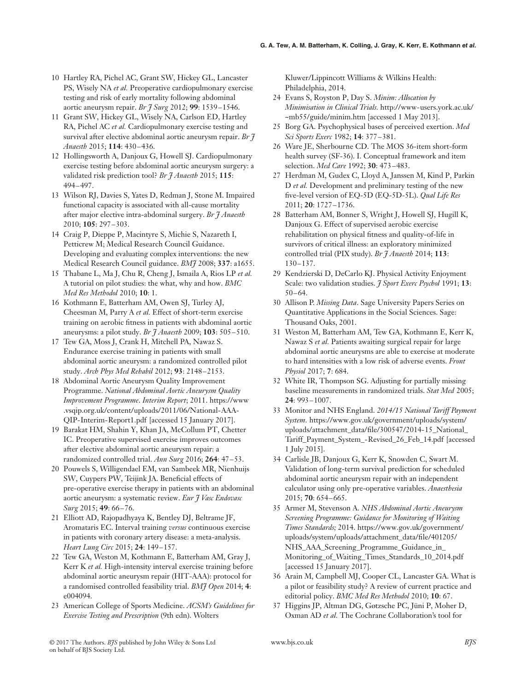- 10 Hartley RA, Pichel AC, Grant SW, Hickey GL, Lancaster PS, Wisely NA *et al.* Preoperative cardiopulmonary exercise testing and risk of early mortality following abdominal aortic aneurysm repair. *Br J Surg* 2012; **99**: 1539–1546.
- 11 Grant SW, Hickey GL, Wisely NA, Carlson ED, Hartley RA, Pichel AC *et al.* Cardiopulmonary exercise testing and survival after elective abdominal aortic aneurysm repair. *Br J Anaesth* 2015; **114**: 430–436.
- 12 Hollingsworth A, Danjoux G, Howell SJ. Cardiopulmonary exercise testing before abdominal aortic aneurysm surgery: a validated risk prediction tool? *Br J Anaesth* 2015; **115**: 494–497.
- 13 Wilson RJ, Davies S, Yates D, Redman J, Stone M. Impaired functional capacity is associated with all-cause mortality after major elective intra-abdominal surgery. *Br J Anaesth* 2010; **105**: 297–303.
- 14 Craig P, Dieppe P, Macintyre S, Michie S, Nazareth I, Petticrew M; Medical Research Council Guidance. Developing and evaluating complex interventions: the new Medical Research Council guidance. *BMJ* 2008; **337**: a1655.
- 15 Thabane L, Ma J, Chu R, Cheng J, Ismaila A, Rios LP *et al.* A tutorial on pilot studies: the what, why and how. *BMC Med Res Methodol* 2010; **10**: 1.
- 16 Kothmann E, Batterham AM, Owen SJ, Turley AJ, Cheesman M, Parry A *et al.* Effect of short-term exercise training on aerobic fitness in patients with abdominal aortic aneurysms: a pilot study. *Br J Anaesth* 2009; **103**: 505–510.
- 17 Tew GA, Moss J, Crank H, Mitchell PA, Nawaz S. Endurance exercise training in patients with small abdominal aortic aneurysm: a randomized controlled pilot study. *Arch Phys Med Rehabil* 2012; **93**: 2148–2153.
- 18 Abdominal Aortic Aneurysm Quality Improvement Programme. *National Abdominal Aortic Aneurysm Quality Improvement Programme*. *Interim Report*; 2011. [https://www](https://www.vsqip.org.uk/content/uploads/2011/06/National-AAA-QIP-Interim-Report1.pdf) [.vsqip.org.uk/content/uploads/2011/06/National-AAA-](https://www.vsqip.org.uk/content/uploads/2011/06/National-AAA-QIP-Interim-Report1.pdf)[QIP-Interim-Report1.pdf](https://www.vsqip.org.uk/content/uploads/2011/06/National-AAA-QIP-Interim-Report1.pdf) [accessed 15 January 2017].
- 19 Barakat HM, Shahin Y, Khan JA, McCollum PT, Chetter IC. Preoperative supervised exercise improves outcomes after elective abdominal aortic aneurysm repair: a randomized controlled trial. *Ann Surg* 2016; **264**: 47–53.
- 20 Pouwels S, Willigendael EM, van Sambeek MR, Nienhuijs SW, Cuypers PW, Teijink JA. Beneficial effects of pre-operative exercise therapy in patients with an abdominal aortic aneurysm: a systematic review. *Eur J Vasc Endovasc Surg* 2015; **49**: 66–76.
- 21 Elliott AD, Rajopadhyaya K, Bentley DJ, Beltrame JF, Aromataris EC. Interval training *versus* continuous exercise in patients with coronary artery disease: a meta-analysis. *Heart Lung Circ* 2015; **24**: 149–157.
- 22 Tew GA, Weston M, Kothmann E, Batterham AM, Gray J, Kerr K *et al.* High-intensity interval exercise training before abdominal aortic aneurysm repair (HIT-AAA): protocol for a randomised controlled feasibility trial. *BMJ Open* 2014; **4**: e004094.
- 23 American College of Sports Medicine. *ACSM's Guidelines for Exercise Testing and Prescription* (9th edn). Wolters

Kluwer/Lippincott Williams & Wilkins Health: Philadelphia, 2014.

- 24 Evans S, Royston P, Day S. *Minim: Allocation by Minimisation in Clinical Trials.* [http://www-users.york.ac.uk/](http://www-users.york.ac.uk/~mb55/guide/minim.htm) [~mb55/guide/minim.htm](http://www-users.york.ac.uk/~mb55/guide/minim.htm) [accessed 1 May 2013].
- 25 Borg GA. Psychophysical bases of perceived exertion. *Med Sci Sports Exerc* 1982; **14**: 377–381.
- 26 Ware JE, Sherbourne CD. The MOS 36-item short-form health survey (SF-36). I. Conceptual framework and item selection. *Med Care* 1992; **30**: 473–483.
- 27 Herdman M, Gudex C, Lloyd A, Janssen M, Kind P, Parkin D *et al.* Development and preliminary testing of the new five-level version of EQ-5D (EQ-5D-5L). *Qual Life Res* 2011; **20**: 1727–1736.
- 28 Batterham AM, Bonner S, Wright J, Howell SJ, Hugill K, Danjoux G. Effect of supervised aerobic exercise rehabilitation on physical fitness and quality-of-life in survivors of critical illness: an exploratory minimized controlled trial (PIX study). *Br J Anaesth* 2014; **113**: 130–137.
- 29 Kendzierski D, DeCarlo KJ. Physical Activity Enjoyment Scale: two validation studies. *J Sport Exerc Psychol* 1991; **13**: 50–64.
- 30 Allison P. *Missing Data*. Sage University Papers Series on Quantitative Applications in the Social Sciences. Sage: Thousand Oaks, 2001.
- 31 Weston M, Batterham AM, Tew GA, Kothmann E, Kerr K, Nawaz S *et al.* Patients awaiting surgical repair for large abdominal aortic aneurysms are able to exercise at moderate to hard intensities with a low risk of adverse events. *Front Physiol* 2017; **7**: 684.
- 32 White IR, Thompson SG. Adjusting for partially missing baseline measurements in randomized trials. *Stat Med* 2005; **24**: 993–1007.
- 33 Monitor and NHS England. *2014/15 National Tariff Payment System.* [https://www.gov.uk/government/uploads/system/](https://www.gov.uk/government/uploads/system/uploads/attachment_data/file/300547/2014-15_National_Tariff_Payment_System_-Revised_26_Feb_14.pdf) [uploads/attachment\\_data/file/300547/2014-15\\_National\\_](https://www.gov.uk/government/uploads/system/uploads/attachment_data/file/300547/2014-15_National_Tariff_Payment_System_-Revised_26_Feb_14.pdf) [Tariff\\_Payment\\_System\\_-Revised\\_26\\_Feb\\_14.pdf](https://www.gov.uk/government/uploads/system/uploads/attachment_data/file/300547/2014-15_National_Tariff_Payment_System_-Revised_26_Feb_14.pdf) [accessed 1 July 2015].
- 34 Carlisle JB, Danjoux G, Kerr K, Snowden C, Swart M. Validation of long-term survival prediction for scheduled abdominal aortic aneurysm repair with an independent calculator using only pre-operative variables. *Anaesthesia* 2015; **70**: 654–665.
- 35 Armer M, Stevenson A. *NHS Abdominal Aortic Aneurysm Screening Programme: Guidance for Monitoring of Waiting Times Standards;* 2014. [https://www.gov.uk/government/](https://www.gov.uk/government/uploads/system/uploads/attachment_data/file/401205/NHS_AAA_Screening_Programme_Guidance_in_Monitoring_of_Waiting_Times_Standards_10_2014.pdf) [uploads/system/uploads/attachment\\_data/file/401205/](https://www.gov.uk/government/uploads/system/uploads/attachment_data/file/401205/NHS_AAA_Screening_Programme_Guidance_in_Monitoring_of_Waiting_Times_Standards_10_2014.pdf) [NHS\\_AAA\\_Screening\\_Programme\\_Guidance\\_in\\_](https://www.gov.uk/government/uploads/system/uploads/attachment_data/file/401205/NHS_AAA_Screening_Programme_Guidance_in_Monitoring_of_Waiting_Times_Standards_10_2014.pdf) [Monitoring\\_of\\_Waiting\\_Times\\_Standards\\_10\\_2014.pdf](https://www.gov.uk/government/uploads/system/uploads/attachment_data/file/401205/NHS_AAA_Screening_Programme_Guidance_in_Monitoring_of_Waiting_Times_Standards_10_2014.pdf) [accessed 15 January 2017].
- 36 Arain M, Campbell MJ, Cooper CL, Lancaster GA. What is a pilot or feasibility study? A review of current practice and editorial policy. *BMC Med Res Methodol* 2010; **10**: 67.
- 37 Higgins JP, Altman DG, Gøtzsche PC, Jüni P, Moher D, Oxman AD *et al.* The Cochrane Collaboration's tool for

© 2017 The Authors. *BJS* published by John Wiley & Sons Ltd www.bjs.co.uk *BJS* on behalf of BJS Society Ltd.